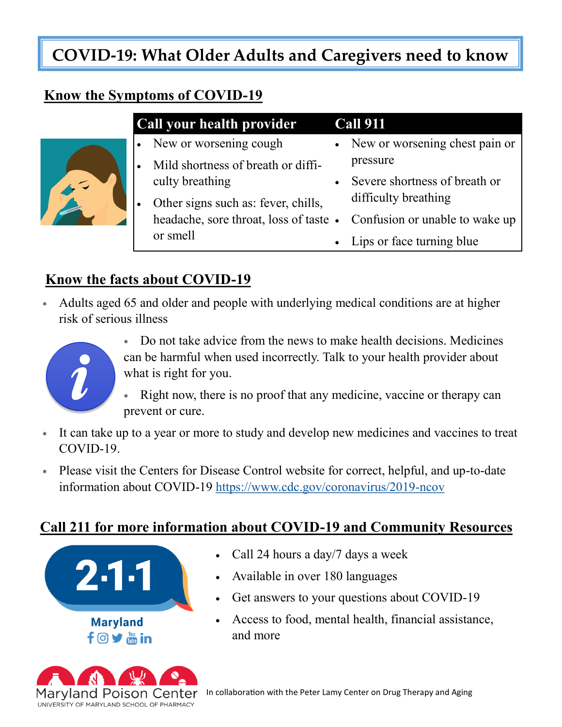# **COVID-19: What Older Adults and Caregivers need to know**

## **Know the Symptoms of COVID-19**

| Call your health provider |                                                                       | <b>Call 911</b> |                                  |
|---------------------------|-----------------------------------------------------------------------|-----------------|----------------------------------|
|                           | • New or worsening cough                                              |                 | • New or worsening chest pain or |
|                           | Mild shortness of breath or diffi-                                    |                 | pressure                         |
|                           | culty breathing                                                       | $\bullet$       | Severe shortness of breath or    |
|                           | Other signs such as: fever, chills,                                   |                 | difficulty breathing             |
|                           | headache, sore throat, loss of taste • Confusion or unable to wake up |                 |                                  |
|                           | or smell                                                              |                 | • Lips or face turning blue      |

## **Know the facts about COVID-19**

 Adults aged 65 and older and people with underlying medical conditions are at higher risk of serious illness



- Do not take advice from the news to make health decisions. Medicines can be harmful when used incorrectly. Talk to your health provider about what is right for you.
- Right now, there is no proof that any medicine, vaccine or therapy can prevent or cure.
- It can take up to a year or more to study and develop new medicines and vaccines to treat COVID-19.
- Please visit the Centers for Disease Control website for correct, helpful, and up-to-date information about COVID-19 https://www.cdc.gov/coronavirus/2019-ncov

## **Call 211 for more information about COVID-19 and Community Resources**





- Call 24 hours a day/7 days a week
- Available in over 180 languages
- Get answers to your questions about COVID-19
- Access to food, mental health, financial assistance, and more